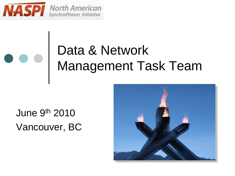

#### Data & Network Management Task Team

#### June 9th 2010 Vancouver, BC

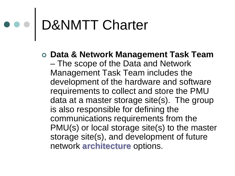# D&NMTT Charter

**Data & Network Management Task Team**

– The scope of the Data and Network Management Task Team includes the development of the hardware and software requirements to collect and store the PMU data at a master storage site(s). The group is also responsible for defining the communications requirements from the PMU(s) or local storage site(s) to the master storage site(s), and development of future network **architecture** options.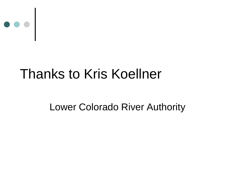

#### Thanks to Kris Koellner

#### Lower Colorado River Authority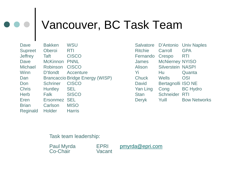### Vancouver, BC Task Team

Dave Bakken WSU Supreet Oberoi RTI Jeffrey Taft CISCO Dave McKinnon PNNL Michael Robinson CISCO Winn D'tlondt Accenture Dan Brancaccio Bridge Energy (WISP) Don Schriner CISCO Chris Huntley SEL Herb Falk SISCO Eren Ersonmez SEL Brian Carlson MISO Reginald Holder Harris

Salvatore D'Antonio Univ Naples Ritchie Carroll GPA Fernando Crespo RTI James McNierney NYISO Alison Silverstein NASPI Yi Hu Quanta Chuck Wells OSI David Bertagnolli ISO NE Yan Ling Cong BC Hydro Stan Schneider RTI Deryk Yuill Bow Networks

#### Task team leadership:

Paul Myrda EPRI [pmyrda@epri.com](mailto:pmyrda@epri.com)<br>Co-Chair Vacant Co-Chair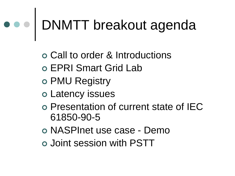# DNMTT breakout agenda

Call to order & Introductions

- EPRI Smart Grid Lab
- PMU Registry
- Latency issues
- Presentation of current state of IEC 61850-90-5
- NASPInet use case Demo
- Joint session with PSTT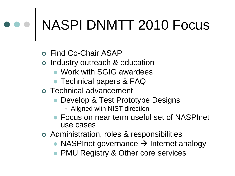## NASPI DNMTT 2010 Focus

Find Co-Chair ASAP

- o Industry outreach & education
	- Work with SGIG awardees
	- **Technical papers & FAQ**
- Technical advancement
	- Develop & Test Prototype Designs
		- Aligned with NIST direction
	- Focus on near term useful set of NASPInet use cases
- Administration, roles & responsibilities
	- NASPInet governance  $\rightarrow$  Internet analogy
	- PMU Registry & Other core services